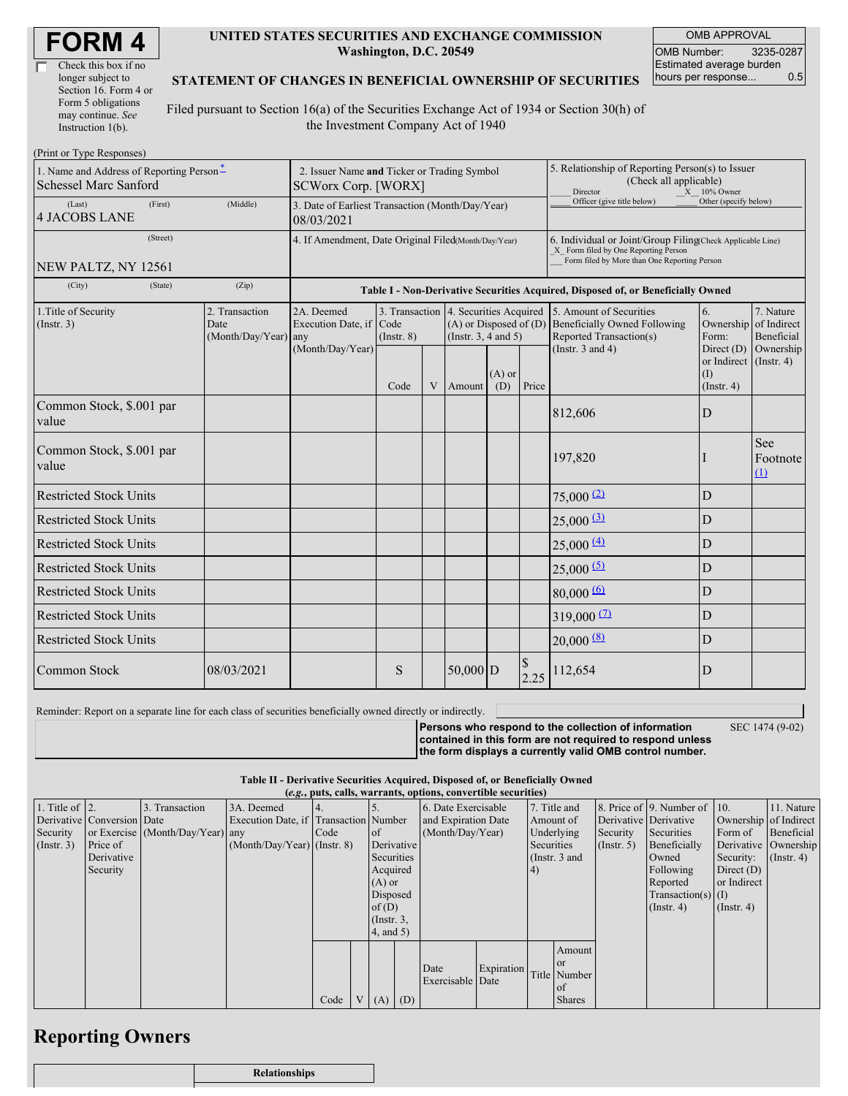| <b>FORM4</b> |
|--------------|
|--------------|

| Check this box if no  |
|-----------------------|
| longer subject to     |
| Section 16. Form 4 or |
| Form 5 obligations    |
| may continue. See     |
| Instruction 1(b).     |

#### **UNITED STATES SECURITIES AND EXCHANGE COMMISSION Washington, D.C. 20549**

OMB APPROVAL OMB Number: 3235-0287 Estimated average burden hours per response... 0.5

#### **STATEMENT OF CHANGES IN BENEFICIAL OWNERSHIP OF SECURITIES**

Filed pursuant to Section 16(a) of the Securities Exchange Act of 1934 or Section 30(h) of the Investment Company Act of 1940

| (Print or Type Responses)                                                |                                                                                                                                                                                                                                      |                                                                                  |      |                                                                                                                                                                |                                                                                                                                                    |                                                     |                                                                                                       |                        |                                                         |                        |
|--------------------------------------------------------------------------|--------------------------------------------------------------------------------------------------------------------------------------------------------------------------------------------------------------------------------------|----------------------------------------------------------------------------------|------|----------------------------------------------------------------------------------------------------------------------------------------------------------------|----------------------------------------------------------------------------------------------------------------------------------------------------|-----------------------------------------------------|-------------------------------------------------------------------------------------------------------|------------------------|---------------------------------------------------------|------------------------|
| 1. Name and Address of Reporting Person-<br><b>Schessel Marc Sanford</b> | 2. Issuer Name and Ticker or Trading Symbol<br><b>SCWorx Corp. [WORX]</b>                                                                                                                                                            |                                                                                  |      |                                                                                                                                                                |                                                                                                                                                    |                                                     | 5. Relationship of Reporting Person(s) to Issuer<br>(Check all applicable)<br>Director<br>X 10% Owner |                        |                                                         |                        |
| (Last)<br>(First)<br><b>4 JACOBS LANE</b>                                | (Middle)                                                                                                                                                                                                                             | 3. Date of Earliest Transaction (Month/Day/Year)<br>08/03/2021                   |      |                                                                                                                                                                |                                                                                                                                                    |                                                     | Officer (give title below)                                                                            | Other (specify below)  |                                                         |                        |
| (Street)<br>NEW PALTZ, NY 12561                                          |                                                                                                                                                                                                                                      | 4. If Amendment, Date Original Filed(Month/Day/Year)                             |      |                                                                                                                                                                | 6. Individual or Joint/Group Filing(Check Applicable Line)<br>X Form filed by One Reporting Person<br>Form filed by More than One Reporting Person |                                                     |                                                                                                       |                        |                                                         |                        |
| (City)<br>(State)                                                        | (Zip)                                                                                                                                                                                                                                | Table I - Non-Derivative Securities Acquired, Disposed of, or Beneficially Owned |      |                                                                                                                                                                |                                                                                                                                                    |                                                     |                                                                                                       |                        |                                                         |                        |
| 1. Title of Security<br>(Insert. 3)                                      | 2. Transaction<br>2A. Deemed<br>3. Transaction 4. Securities Acquired<br>Execution Date, if<br>Code<br>$(A)$ or Disposed of $(D)$<br>Date<br>(Month/Day/Year) any<br>(Instr. $3, 4$ and $5$ )<br>$($ Instr. $8)$<br>(Month/Day/Year) |                                                                                  |      | 5. Amount of Securities<br>6.<br><b>Beneficially Owned Following</b><br>Ownership<br>Reported Transaction(s)<br>Form:<br>(Instr. $3$ and $4$ )<br>Direct $(D)$ |                                                                                                                                                    | 7. Nature<br>of Indirect<br>Beneficial<br>Ownership |                                                                                                       |                        |                                                         |                        |
|                                                                          |                                                                                                                                                                                                                                      |                                                                                  | Code | V                                                                                                                                                              | Amount                                                                                                                                             | $(A)$ or<br>(D)                                     | Price                                                                                                 |                        | or Indirect $($ Instr. 4 $)$<br>(I)<br>$($ Instr. 4 $)$ |                        |
| Common Stock, \$.001 par<br>value                                        |                                                                                                                                                                                                                                      |                                                                                  |      |                                                                                                                                                                |                                                                                                                                                    |                                                     |                                                                                                       | 812,606                | D                                                       |                        |
| Common Stock, \$.001 par<br>value                                        |                                                                                                                                                                                                                                      |                                                                                  |      |                                                                                                                                                                |                                                                                                                                                    |                                                     |                                                                                                       | 197,820                |                                                         | See<br>Footnote<br>(1) |
| <b>Restricted Stock Units</b>                                            |                                                                                                                                                                                                                                      |                                                                                  |      |                                                                                                                                                                |                                                                                                                                                    |                                                     |                                                                                                       | 75,000(2)              | D                                                       |                        |
| <b>Restricted Stock Units</b>                                            |                                                                                                                                                                                                                                      |                                                                                  |      |                                                                                                                                                                |                                                                                                                                                    |                                                     |                                                                                                       | $25,000 \frac{3}{2}$   | D                                                       |                        |
| <b>Restricted Stock Units</b>                                            |                                                                                                                                                                                                                                      |                                                                                  |      |                                                                                                                                                                |                                                                                                                                                    |                                                     |                                                                                                       | $25,000 \frac{(4)}{2}$ | D                                                       |                        |
| <b>Restricted Stock Units</b>                                            |                                                                                                                                                                                                                                      |                                                                                  |      |                                                                                                                                                                |                                                                                                                                                    |                                                     |                                                                                                       | $25,000$ (5)           | $\mathbf D$                                             |                        |
| <b>Restricted Stock Units</b>                                            |                                                                                                                                                                                                                                      |                                                                                  |      |                                                                                                                                                                |                                                                                                                                                    |                                                     |                                                                                                       | $80,000 \frac{(6)}{6}$ | D                                                       |                        |
| <b>Restricted Stock Units</b>                                            |                                                                                                                                                                                                                                      |                                                                                  |      |                                                                                                                                                                |                                                                                                                                                    |                                                     |                                                                                                       | $319,000$ (2)          | D                                                       |                        |
| <b>Restricted Stock Units</b>                                            |                                                                                                                                                                                                                                      |                                                                                  |      |                                                                                                                                                                |                                                                                                                                                    |                                                     | $20,000$ (8)                                                                                          | $\mathbf D$            |                                                         |                        |
| Common Stock                                                             | 08/03/2021                                                                                                                                                                                                                           |                                                                                  | S    |                                                                                                                                                                | $50,000$ D                                                                                                                                         |                                                     | 2.25                                                                                                  | 112,654                | D                                                       |                        |

Reminder: Report on a separate line for each class of securities beneficially owned directly or indirectly.

SEC 1474 (9-02)

**Persons who respond to the collection of information contained in this form are not required to respond unless the form displays a currently valid OMB control number.**

**Table II - Derivative Securities Acquired, Disposed of, or Beneficially Owned (***e.g.***, puts, calls, warrants, options, convertible securities)**

| (e.g., puts, cans, warrants, options, convertible securities) |                            |                                  |                                       |      |  |                     |            |                     |            |                       |                 |                  |                              |                  |                      |
|---------------------------------------------------------------|----------------------------|----------------------------------|---------------------------------------|------|--|---------------------|------------|---------------------|------------|-----------------------|-----------------|------------------|------------------------------|------------------|----------------------|
| 1. Title of $\vert$ 2.                                        |                            | 3. Transaction                   | 3A. Deemed                            |      |  |                     |            | 6. Date Exercisable |            |                       | 7. Title and    |                  | 8. Price of 9. Number of 10. |                  | 11. Nature           |
|                                                               | Derivative Conversion Date |                                  | Execution Date, if Transaction Number |      |  | and Expiration Date |            | Amount of           |            | Derivative Derivative |                 |                  | Ownership of Indirect        |                  |                      |
| Security                                                      |                            | or Exercise (Month/Day/Year) any |                                       | Code |  | <sub>of</sub>       |            | (Month/Day/Year)    |            |                       | Underlying      | Security         | Securities                   | Form of          | Beneficial           |
| $($ Instr. 3 $)$                                              | Price of                   |                                  | $(Month/Day/Year)$ (Instr. 8)         |      |  |                     | Derivative |                     |            | Securities            |                 | $($ Instr. 5 $)$ | Beneficially                 |                  | Derivative Ownership |
|                                                               | Derivative                 |                                  |                                       |      |  | Securities          |            |                     |            |                       | (Instr. $3$ and |                  | Owned                        | Security:        | $($ Instr. 4 $)$     |
|                                                               | Security                   |                                  |                                       |      |  | Acquired            |            |                     |            | $\vert 4)$            |                 |                  | Following                    | Direct $(D)$     |                      |
|                                                               |                            |                                  |                                       |      |  | $(A)$ or            |            |                     |            |                       |                 |                  | Reported                     | or Indirect      |                      |
|                                                               |                            |                                  |                                       |      |  | Disposed            |            |                     |            |                       |                 |                  | $Transaction(s)$ (I)         |                  |                      |
|                                                               |                            |                                  |                                       |      |  | of(D)               |            |                     |            |                       |                 |                  | $($ Instr. 4 $)$             | $($ Instr. 4 $)$ |                      |
|                                                               |                            |                                  |                                       |      |  | $($ Instr. $3,$     |            |                     |            |                       |                 |                  |                              |                  |                      |
|                                                               |                            |                                  |                                       |      |  | 4, and 5)           |            |                     |            |                       |                 |                  |                              |                  |                      |
|                                                               |                            |                                  |                                       |      |  |                     |            |                     |            |                       | Amount          |                  |                              |                  |                      |
|                                                               |                            |                                  |                                       |      |  |                     |            |                     |            |                       | <b>or</b>       |                  |                              |                  |                      |
|                                                               |                            |                                  |                                       |      |  |                     |            | Date                | Expiration |                       | Title Number    |                  |                              |                  |                      |
|                                                               |                            |                                  |                                       |      |  |                     |            | Exercisable Date    |            |                       | of              |                  |                              |                  |                      |
|                                                               |                            |                                  |                                       | Code |  |                     | $V(A)$ (D) |                     |            |                       | <b>Shares</b>   |                  |                              |                  |                      |

## **Reporting Owners**

| <b>Relationships</b> |
|----------------------|
|                      |